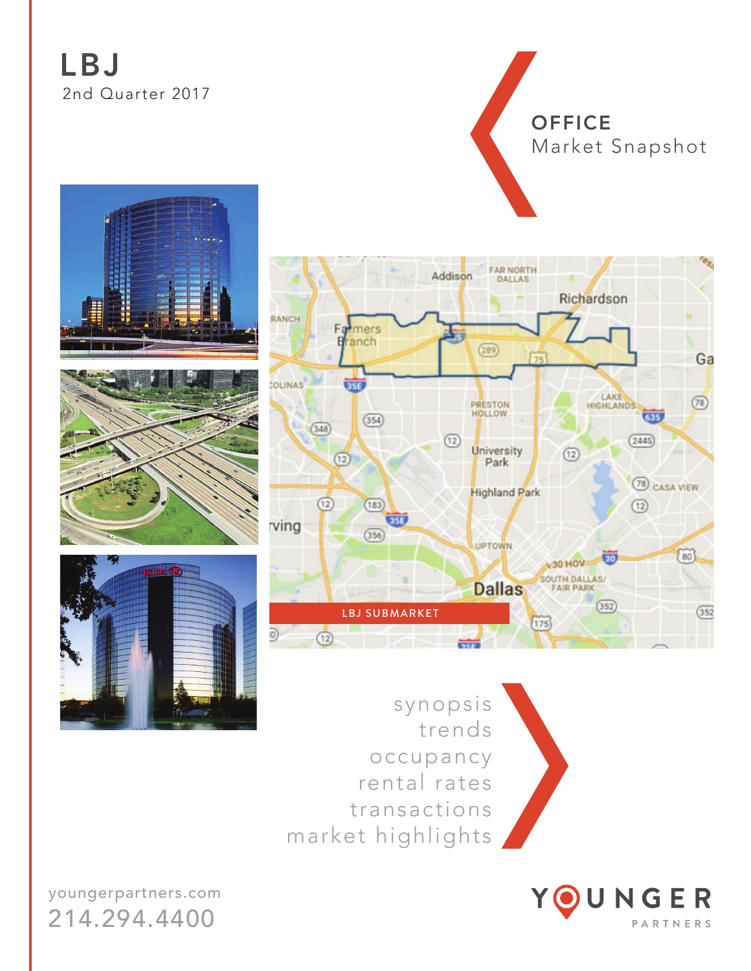# LBJ 2nd Quarter 2017

**OFFICE** Market Snapshot







FAR NORTH

Addison



synopsis trends occupancy rental rates transactions market highlights



youngerpartners.com 214.294.4400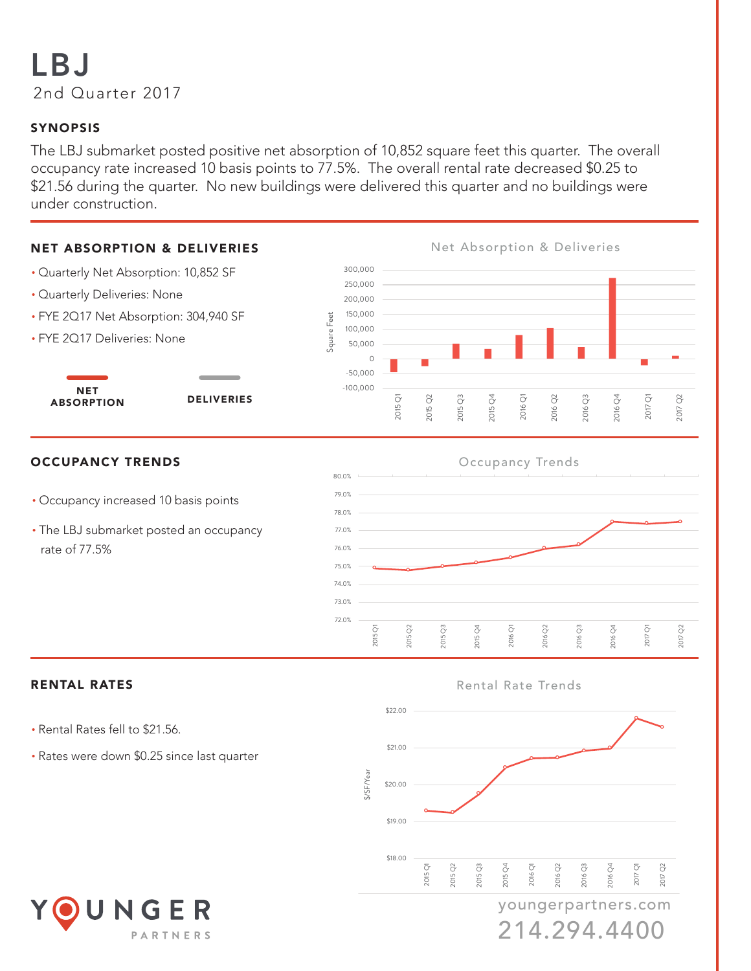# LBJ 2nd Quarter 2017

## SYNOPSIS

The LBJ submarket posted positive net absorption of 10,852 square feet this quarter. The overall occupancy rate increased 10 basis points to 77.5%. The overall rental rate decreased \$0.25 to \$21.56 during the quarter. No new buildings were delivered this quarter and no buildings were under construction.



### **OCCUPANCY TRENDS**

NET

- Occupancy increased 10 basis points
- The LBJ submarket posted an occupancy rate of 77.5%



2017 Q2

- Rental Rates fell to \$21.56.
- Rates were down \$0.25 since last quarter



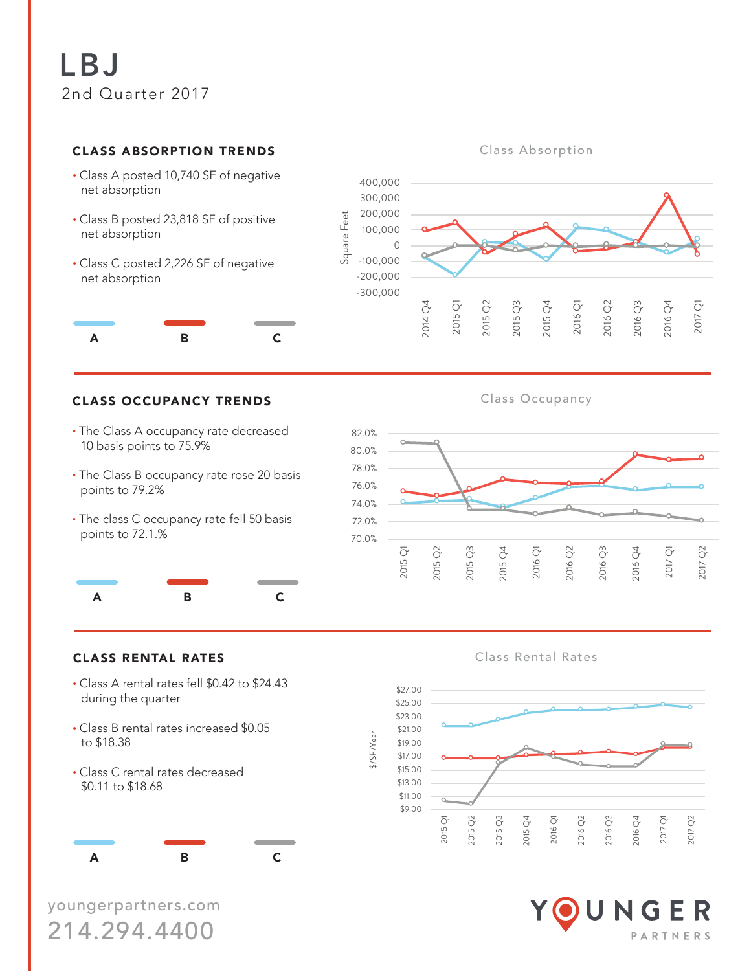### **CLASS ABSORPTION TRENDS**

- Class A posted 10,740 SF of negative net absorption
- Class B posted 23,818 SF of positive net absorption
- Class C posted 2,226 SF of negative net absorption



# **Class Absorption**



### **CLASS OCCUPANCY TRENDS**

- The Class A occupancy rate decreased 10 basis points to 75.9%
- The Class B occupancy rate rose 20 basis points to 79.2%
- The class C occupancy rate fell 50 basis points to 72.1.%



- Class A rental rates fell \$0.42 to \$24.43 during the quarter
- Class B rental rates increased \$0.05 to \$18.38
- Class C rental rates decreased \$0.11 to \$18.68

A B C

youngerpartners.com 214.294.4400

Class Occupancy



CLASS RENTAL RATES **CLASS RENTAL RATES** Class Rental Rates



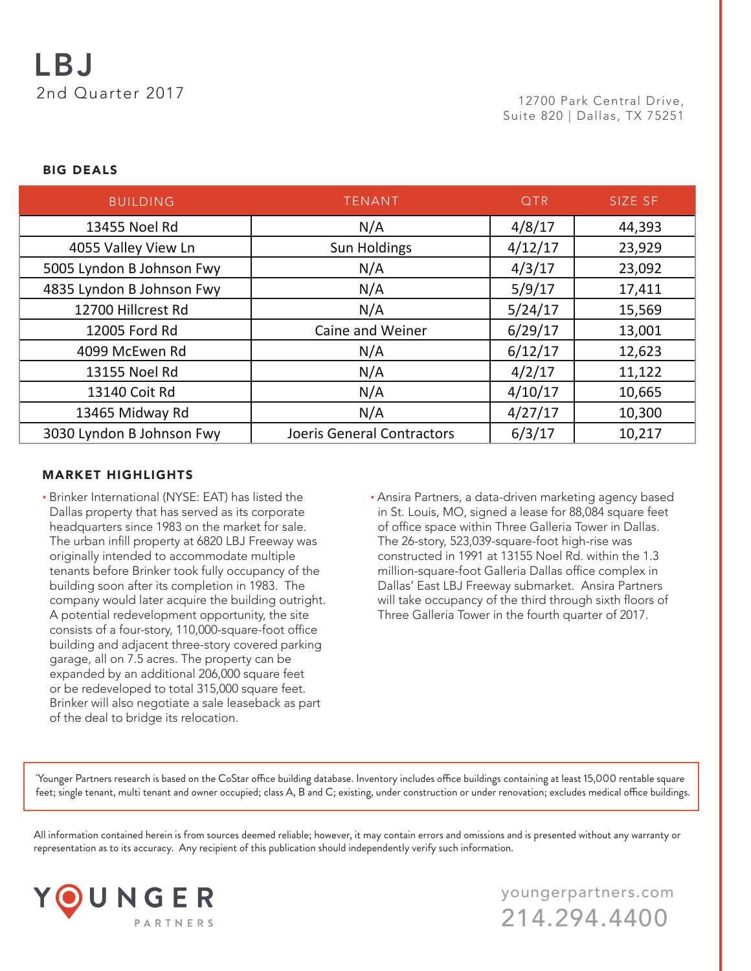### BIG DEALS

| <b>BUILDING</b>           | <b>TENANT</b>              | <b>QTR</b> | SIZE SF |
|---------------------------|----------------------------|------------|---------|
| 13455 Noel Rd             | N/A                        | 4/8/17     | 44,393  |
| 4055 Valley View Ln       | <b>Sun Holdings</b>        | 4/12/17    | 23,929  |
| 5005 Lyndon B Johnson Fwy | N/A                        | 4/3/17     | 23,092  |
| 4835 Lyndon B Johnson Fwy | N/A                        | 5/9/17     | 17,411  |
| 12700 Hillcrest Rd        | N/A                        | 5/24/17    | 15,569  |
| 12005 Ford Rd             | <b>Caine and Weiner</b>    | 6/29/17    | 13,001  |
| 4099 McEwen Rd            | N/A                        | 6/12/17    | 12,623  |
| 13155 Noel Rd             | N/A                        | 4/2/17     | 11,122  |
| 13140 Coit Rd             | N/A                        | 4/10/17    | 10,665  |
| 13465 Midway Rd           | N/A                        | 4/27/17    | 10,300  |
| 3030 Lyndon B Johnson Fwy | Joeris General Contractors | 6/3/17     | 10,217  |

### MARKET HIGHLIGHTS

- Brinker International (NYSE: EAT) has listed the Dallas property that has served as its corporate headquarters since 1983 on the market for sale. The urban infill property at 6820 LBJ Freeway was originally intended to accommodate multiple tenants before Brinker took fully occupancy of the building soon after its completion in 1983. The company would later acquire the building outright. A potential redevelopment opportunity, the site consists of a four-story, 110,000-square-foot office building and adjacent three-story covered parking garage, all on 7.5 acres. The property can be expanded by an additional 206,000 square feet or be redeveloped to total 315,000 square feet. Brinker will also negotiate a sale leaseback as part of the deal to bridge its relocation.
- Ansira Partners, a data-driven marketing agency based in St. Louis, MO, signed a lease for 88,084 square feet of office space within Three Galleria Tower in Dallas. The 26-story, 523,039-square-foot high-rise was constructed in 1991 at 13155 Noel Rd. within the 1.3 million-square-foot Galleria Dallas office complex in Dallas' East LBJ Freeway submarket. Ansira Partners will take occupancy of the third through sixth floors of Three Galleria Tower in the fourth quarter of 2017.

\* Younger Partners research is based on the CoStar office building database. Inventory includes office buildings containing at least 15,000 rentable square feet; single tenant, multi tenant and owner occupied; class A, B and C; existing, under construction or under renovation; excludes medical office buildings.

All information contained herein is from sources deemed reliable; however, it may contain errors and omissions and is presented without any warranty or representation as to its accuracy. Any recipient of this publication should independently verify such information.



youngerpartners.com 214.294.4400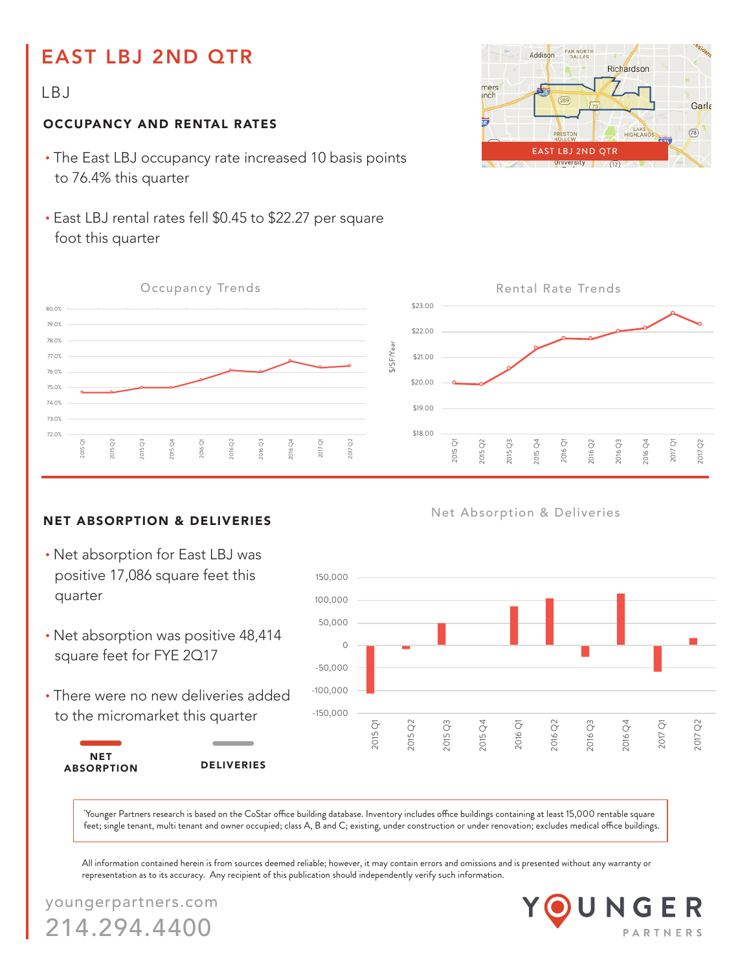# EAST LBJ 2ND QTR

## LBJ

### OCCUPANCY AND RENTAL RATES

- The East LBJ occupancy rate increased 10 basis points to 76.4% this quarter
- East LBJ rental rates fell \$0.45 to \$22.27 per square foot this quarter



### NET ABSORPTION & DELIVERIES

- Net absorption for East LBJ was positive 17,086 square feet this quarter
- Net absorption was positive 48,414 square feet for FYE 2Q17
- There were no new deliveries added to the micromarket this quarter

NET

ABSORPTION DELIVERIES





### Net Absorption & Deliveries



\* Younger Partners research is based on the CoStar office building database. Inventory includes office buildings containing at least 15,000 rentable square feet; single tenant, multi tenant and owner occupied; class A, B and C; existing, under construction or under renovation; excludes medical office buildings.

All information contained herein is from sources deemed reliable; however, it may contain errors and omissions and is presented without any warranty or representation as to its accuracy. Any recipient of this publication should independently verify such information.

youngerpartners.com 214.294.4400